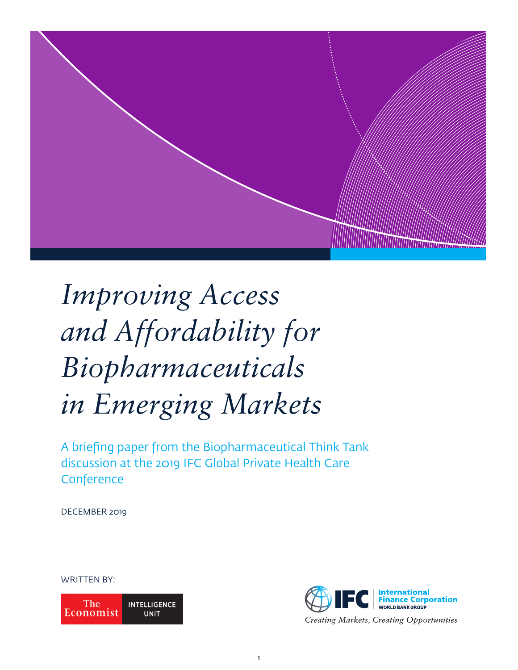

# *Improving Access and Affordability for Biopharmaceuticals in Emerging Markets*

A briefing paper from the Biopharmaceutical Think Tank discussion at the 2019 IFC Global Private Health Care **Conference** 

DECEMBER 2019

# WRITTEN BY:

The **INTELLIGENCE** Economist **UNIT** 

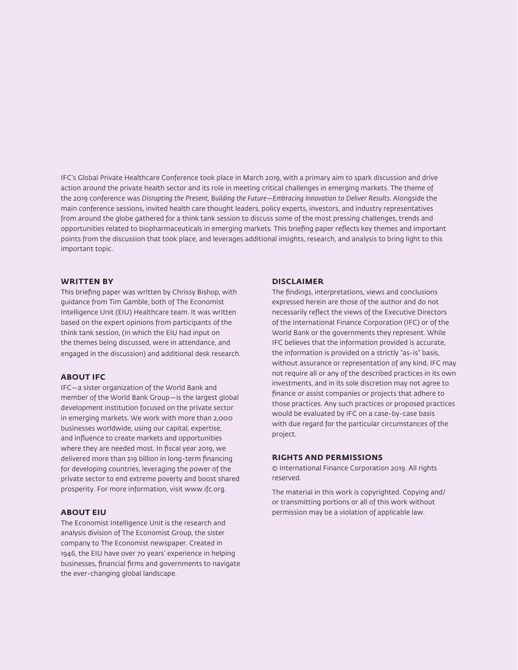IFC's Global Private Healthcare Conference took place in March 2019, with a primary aim to spark discussion and drive action around the private health sector and its role in meeting critical challenges in emerging markets. The theme of the 2019 conference was Disrupting the Present, Building the Future–Embracing Innovation to Deliver Results. Alongside the main conference sessions, invited health care thought leaders, policy experts, investors, and industry representatives from around the globe gathered for a think tank session to discuss some of the most pressing challenges, trends and opportunities related to biopharmaceuticals in emerging markets. This briefing paper reflects key themes and important points from the discussion that took place, and leverages additional insights, research, and analysis to bring light to this important topic.

#### **WRITTEN BY**

This briefing paper was written by Chrissy Bishop, with guidance from Tim Gamble, both of The Economist Intelligence Unit (EIU) Healthcare team. It was written based on the expert opinions from participants of the think tank session, (in which the EIU had input on the themes being discussed, were in attendance, and engaged in the discussion) and additional desk research.

### **ABOUT IFC**

IFC—a sister organization of the World Bank and member of the World Bank Group—is the largest global development institution focused on the private sector in emerging markets. We work with more than 2,000 businesses worldwide, using our capital, expertise, and influence to create markets and opportunities where they are needed most. In fiscal year 2019, we delivered more than \$19 billion in long-term financing for developing countries, leveraging the power of the private sector to end extreme poverty and boost shared prosperity. For more information, visit www.ifc.org.

# **ABOUT EIU**

The Economist Intelligence Unit is the research and analysis division of The Economist Group, the sister company to The Economist newspaper. Created in 1946, the EIU have over 70 years' experience in helping businesses, financial firms and governments to navigate the ever-changing global landscape.

#### **DISCLAIMER**

The findings, interpretations, views and conclusions expressed herein are those of the author and do not necessarily reflect the views of the Executive Directors of the International Finance Corporation (IFC) or of the World Bank or the governments they represent. While IFC believes that the information provided is accurate, the information is provided on a strictly "as-is" basis, without assurance or representation of any kind. IFC may not require all or any of the described practices in its own investments, and in its sole discretion may not agree to finance or assist companies or projects that adhere to those practices. Any such practices or proposed practices would be evaluated by IFC on a case-by-case basis with due regard for the particular circumstances of the project.

# **RIGHTS AND PERMISSIONS**

© International Finance Corporation 2019. All rights reserved.

The material in this work is copyrighted. Copying and/ or transmitting portions or all of this work without permission may be a violation of applicable law.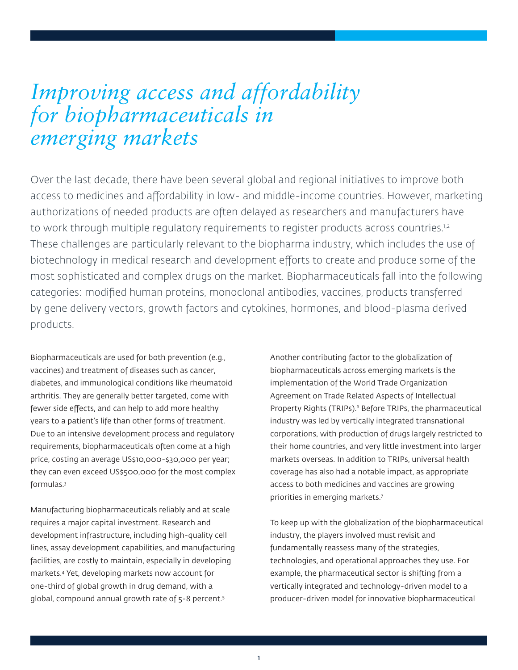# *Improving access and affordability for biopharmaceuticals in emerging markets*

Over the last decade, there have been several global and regional initiatives to improve both access to medicines and affordability in low- and middle-income countries. However, marketing authorizations of needed products are often delayed as researchers and manufacturers have to work through multiple regulatory requirements to register products across countries.<sup>1,2</sup> These challenges are particularly relevant to the biopharma industry, which includes the use of biotechnology in medical research and development efforts to create and produce some of the most sophisticated and complex drugs on the market. Biopharmaceuticals fall into the following categories: modified human proteins, monoclonal antibodies, vaccines, products transferred by gene delivery vectors, growth factors and cytokines, hormones, and blood-plasma derived products.

Biopharmaceuticals are used for both prevention (e.g., vaccines) and treatment of diseases such as cancer, diabetes, and immunological conditions like rheumatoid arthritis. They are generally better targeted, come with fewer side effects, and can help to add more healthy years to a patient's life than other forms of treatment. Due to an intensive development process and regulatory requirements, biopharmaceuticals often come at a high price, costing an average US\$10,000-\$30,000 per year; they can even exceed US\$500,000 for the most complex formulas.3

Manufacturing biopharmaceuticals reliably and at scale requires a major capital investment. Research and development infrastructure, including high-quality cell lines, assay development capabilities, and manufacturing facilities, are costly to maintain, especially in developing markets.4 Yet, developing markets now account for one-third of global growth in drug demand, with a global, compound annual growth rate of 5-8 percent.5

Another contributing factor to the globalization of biopharmaceuticals across emerging markets is the implementation of the World Trade Organization Agreement on Trade Related Aspects of Intellectual Property Rights (TRIPs).<sup>6</sup> Before TRIPs, the pharmaceutical industry was led by vertically integrated transnational corporations, with production of drugs largely restricted to their home countries, and very little investment into larger markets overseas. In addition to TRIPs, universal health coverage has also had a notable impact, as appropriate access to both medicines and vaccines are growing priorities in emerging markets.7

To keep up with the globalization of the biopharmaceutical industry, the players involved must revisit and fundamentally reassess many of the strategies, technologies, and operational approaches they use. For example, the pharmaceutical sector is shifting from a vertically integrated and technology-driven model to a producer-driven model for innovative biopharmaceutical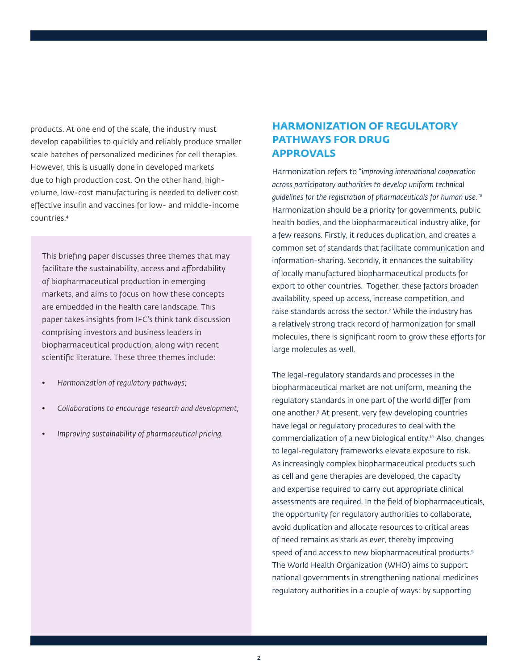products. At one end of the scale, the industry must develop capabilities to quickly and reliably produce smaller scale batches of personalized medicines for cell therapies. However, this is usually done in developed markets due to high production cost. On the other hand, highvolume, low-cost manufacturing is needed to deliver cost effective insulin and vaccines for low- and middle-income countries.4

This briefing paper discusses three themes that may facilitate the sustainability, access and affordability of biopharmaceutical production in emerging markets, and aims to focus on how these concepts are embedded in the health care landscape. This paper takes insights from IFC's think tank discussion comprising investors and business leaders in biopharmaceutical production, along with recent scientific literature. These three themes include:

- *• Harmonization of regulatory pathways;*
- *• Collaborations to encourage research and development;*
- *• Improving sustainability of pharmaceutical pricing.*

# **HARMONIZATION OF REGULATORY PATHWAYS FOR DRUG APPROVALS**

Harmonization refers to "*improving international cooperation across participatory authorities to develop uniform technical guidelines for the registration of pharmaceuticals for human use*."8 Harmonization should be a priority for governments, public health bodies, and the biopharmaceutical industry alike, for a few reasons. Firstly, it reduces duplication, and creates a common set of standards that facilitate communication and information-sharing. Secondly, it enhances the suitability of locally manufactured biopharmaceutical products for export to other countries. Together, these factors broaden availability, speed up access, increase competition, and raise standards across the sector.<sup>2</sup> While the industry has a relatively strong track record of harmonization for small molecules, there is significant room to grow these efforts for large molecules as well.

The legal-regulatory standards and processes in the biopharmaceutical market are not uniform, meaning the regulatory standards in one part of the world differ from one another.9 At present, very few developing countries have legal or regulatory procedures to deal with the commercialization of a new biological entity.10 Also, changes to legal-regulatory frameworks elevate exposure to risk. As increasingly complex biopharmaceutical products such as cell and gene therapies are developed, the capacity and expertise required to carry out appropriate clinical assessments are required. In the field of biopharmaceuticals, the opportunity for regulatory authorities to collaborate, avoid duplication and allocate resources to critical areas of need remains as stark as ever, thereby improving speed of and access to new biopharmaceutical products.9 The World Health Organization (WHO) aims to support national governments in strengthening national medicines regulatory authorities in a couple of ways: by supporting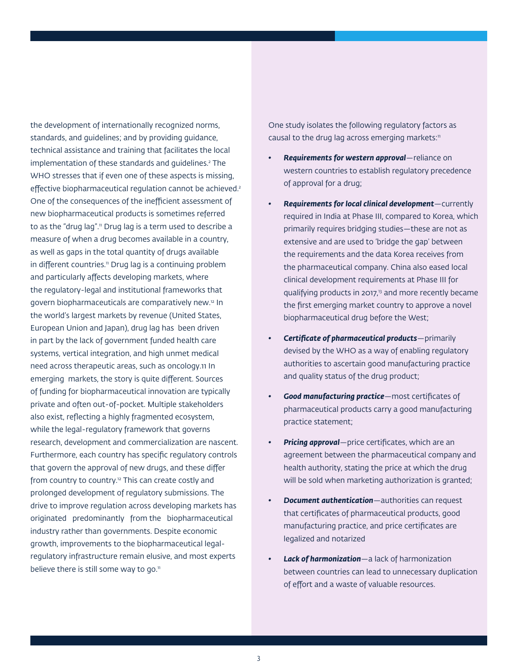the development of internationally recognized norms, standards, and guidelines; and by providing guidance, technical assistance and training that facilitates the local implementation of these standards and guidelines.2 The WHO stresses that if even one of these aspects is missing, effective biopharmaceutical regulation cannot be achieved.<sup>2</sup> One of the consequences of the inefficient assessment of new biopharmaceutical products is sometimes referred to as the "drug lag".<sup>11</sup> Drug lag is a term used to describe a measure of when a drug becomes available in a country, as well as gaps in the total quantity of drugs available in different countries.<sup>11</sup> Drug lag is a continuing problem and particularly affects developing markets, where the regulatory-legal and institutional frameworks that govern biopharmaceuticals are comparatively new.12 In the world's largest markets by revenue (United States, European Union and Japan), drug lag has been driven in part by the lack of government funded health care systems, vertical integration, and high unmet medical need across therapeutic areas, such as oncology.11 In emerging markets, the story is quite different. Sources of funding for biopharmaceutical innovation are typically private and often out-of-pocket. Multiple stakeholders also exist, reflecting a highly fragmented ecosystem, while the legal-regulatory framework that governs research, development and commercialization are nascent. Furthermore, each country has specific regulatory controls that govern the approval of new drugs, and these differ from country to country.<sup>12</sup> This can create costly and prolonged development of regulatory submissions. The drive to improve regulation across developing markets has originated predominantly from the biopharmaceutical industry rather than governments. Despite economic growth, improvements to the biopharmaceutical legalregulatory infrastructure remain elusive, and most experts believe there is still some way to go. $n$ 

One study isolates the following regulatory factors as causal to the drug lag across emerging markets:<sup>11</sup>

- *• Requirements for western approval*—reliance on western countries to establish regulatory precedence of approval for a drug;
- *• Requirements for local clinical development*—currently required in India at Phase III, compared to Korea, which primarily requires bridging studies—these are not as extensive and are used to 'bridge the gap' between the requirements and the data Korea receives from the pharmaceutical company. China also eased local clinical development requirements at Phase III for qualifying products in 2017,<sup>13</sup> and more recently became the first emerging market country to approve a novel biopharmaceutical drug before the West;
- *• Certificate of pharmaceutical products*—primarily devised by the WHO as a way of enabling regulatory authorities to ascertain good manufacturing practice and quality status of the drug product;
- *• Good manufacturing practice*—most certificates of pharmaceutical products carry a good manufacturing practice statement;
- *• Pricing approval*—price certificates, which are an agreement between the pharmaceutical company and health authority, stating the price at which the drug will be sold when marketing authorization is granted;
- *• Document authentication*—authorities can request that certificates of pharmaceutical products, good manufacturing practice, and price certificates are legalized and notarized
- *• Lack of harmonization*—a lack of harmonization between countries can lead to unnecessary duplication of effort and a waste of valuable resources.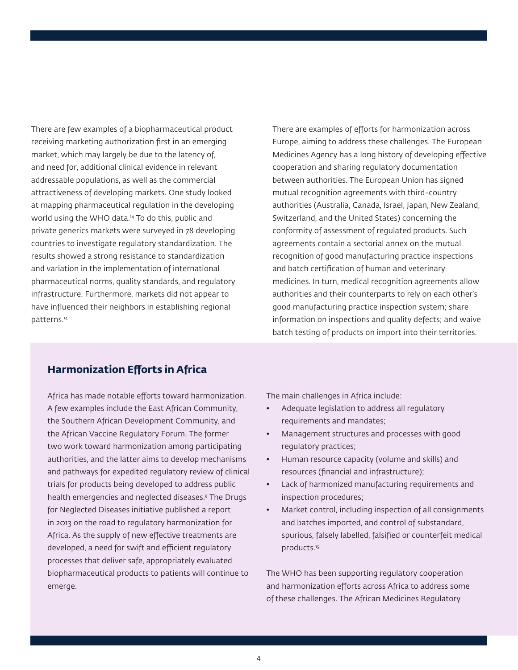There are few examples of a biopharmaceutical product receiving marketing authorization first in an emerging market, which may largely be due to the latency of, and need for, additional clinical evidence in relevant addressable populations, as well as the commercial attractiveness of developing markets. One study looked at mapping pharmaceutical regulation in the developing world using the WHO data.14 To do this, public and private generics markets were surveyed in 78 developing countries to investigate regulatory standardization. The results showed a strong resistance to standardization and variation in the implementation of international pharmaceutical norms, quality standards, and regulatory infrastructure. Furthermore, markets did not appear to have influenced their neighbors in establishing regional patterns.14

There are examples of efforts for harmonization across Europe, aiming to address these challenges. The European Medicines Agency has a long history of developing effective cooperation and sharing regulatory documentation between authorities. The European Union has signed mutual recognition agreements with third-country authorities (Australia, Canada, Israel, Japan, New Zealand, Switzerland, and the United States) concerning the conformity of assessment of regulated products. Such agreements contain a sectorial annex on the mutual recognition of good manufacturing practice inspections and batch certification of human and veterinary medicines. In turn, medical recognition agreements allow authorities and their counterparts to rely on each other's good manufacturing practice inspection system; share information on inspections and quality defects; and waive batch testing of products on import into their territories.

# **Harmonization Efforts in Africa**

Africa has made notable efforts toward harmonization. A few examples include the East African Community, the Southern African Development Community, and the African Vaccine Regulatory Forum. The former two work toward harmonization among participating authorities, and the latter aims to develop mechanisms and pathways for expedited regulatory review of clinical trials for products being developed to address public health emergencies and neglected diseases.9 The Drugs for Neglected Diseases initiative published a report in 2013 on the road to regulatory harmonization for Africa. As the supply of new effective treatments are developed, a need for swift and efficient regulatory processes that deliver safe, appropriately evaluated biopharmaceutical products to patients will continue to emerge.

The main challenges in Africa include:

- Adequate legislation to address all regulatory requirements and mandates;
- Management structures and processes with good regulatory practices;
- Human resource capacity (volume and skills) and resources (financial and infrastructure);
- Lack of harmonized manufacturing requirements and inspection procedures;
- Market control, including inspection of all consignments and batches imported, and control of substandard, spurious, falsely labelled, falsified or counterfeit medical products.<sup>15</sup>

The WHO has been supporting regulatory cooperation and harmonization efforts across Africa to address some of these challenges. The African Medicines Regulatory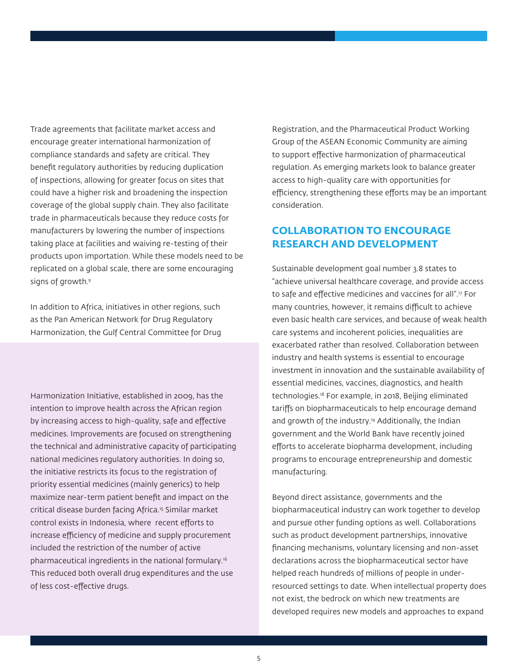Trade agreements that facilitate market access and encourage greater international harmonization of compliance standards and safety are critical. They benefit regulatory authorities by reducing duplication of inspections, allowing for greater focus on sites that could have a higher risk and broadening the inspection coverage of the global supply chain. They also facilitate trade in pharmaceuticals because they reduce costs for manufacturers by lowering the number of inspections taking place at facilities and waiving re-testing of their products upon importation. While these models need to be replicated on a global scale, there are some encouraging signs of growth.<sup>9</sup>

In addition to Africa, initiatives in other regions, such as the Pan American Network for Drug Regulatory Harmonization, the Gulf Central Committee for Drug

Harmonization Initiative, established in 2009, has the intention to improve health across the African region by increasing access to high-quality, safe and effective medicines. Improvements are focused on strengthening the technical and administrative capacity of participating national medicines regulatory authorities. In doing so, the initiative restricts its focus to the registration of priority essential medicines (mainly generics) to help maximize near-term patient benefit and impact on the critical disease burden facing Africa.<sup>15</sup> Similar market control exists in Indonesia, where recent efforts to increase efficiency of medicine and supply procurement included the restriction of the number of active pharmaceutical ingredients in the national formulary.16 This reduced both overall drug expenditures and the use of less cost-effective drugs.

Registration, and the Pharmaceutical Product Working Group of the ASEAN Economic Community are aiming to support effective harmonization of pharmaceutical regulation. As emerging markets look to balance greater access to high-quality care with opportunities for efficiency, strengthening these efforts may be an important consideration.

# **COLLABORATION TO ENCOURAGE RESEARCH AND DEVELOPMENT**

Sustainable development goal number 3.8 states to "achieve universal healthcare coverage, and provide access to safe and effective medicines and vaccines for all".17 For many countries, however, it remains difficult to achieve even basic health care services, and because of weak health care systems and incoherent policies, inequalities are exacerbated rather than resolved. Collaboration between industry and health systems is essential to encourage investment in innovation and the sustainable availability of essential medicines, vaccines, diagnostics, and health technologies.18 For example, in 2018, Beijing eliminated tariffs on biopharmaceuticals to help encourage demand and growth of the industry.<sup>19</sup> Additionally, the Indian government and the World Bank have recently joined efforts to accelerate biopharma development, including programs to encourage entrepreneurship and domestic manufacturing.

Beyond direct assistance, governments and the biopharmaceutical industry can work together to develop and pursue other funding options as well. Collaborations such as product development partnerships, innovative financing mechanisms, voluntary licensing and non-asset declarations across the biopharmaceutical sector have helped reach hundreds of millions of people in underresourced settings to date. When intellectual property does not exist, the bedrock on which new treatments are developed requires new models and approaches to expand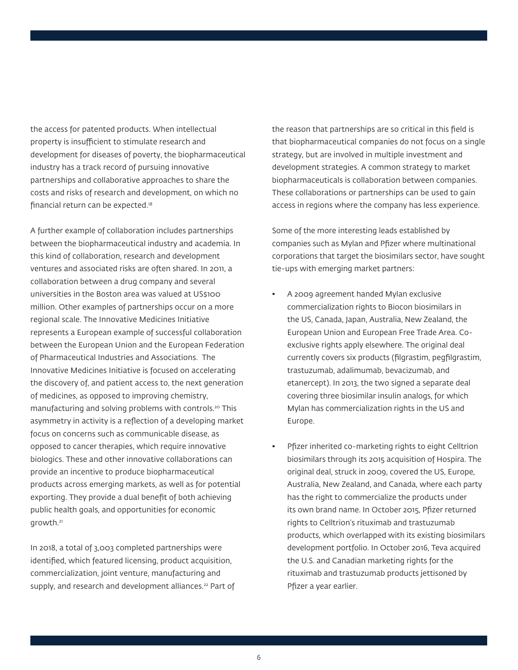the access for patented products. When intellectual property is insufficient to stimulate research and development for diseases of poverty, the biopharmaceutical industry has a track record of pursuing innovative partnerships and collaborative approaches to share the costs and risks of research and development, on which no financial return can be expected.18

A further example of collaboration includes partnerships between the biopharmaceutical industry and academia. In this kind of collaboration, research and development ventures and associated risks are often shared. In 2011, a collaboration between a drug company and several universities in the Boston area was valued at US\$100 million. Other examples of partnerships occur on a more regional scale. The Innovative Medicines Initiative represents a European example of successful collaboration between the European Union and the European Federation of Pharmaceutical Industries and Associations. The Innovative Medicines Initiative is focused on accelerating the discovery of, and patient access to, the next generation of medicines, as opposed to improving chemistry, manufacturing and solving problems with controls.<sup>20</sup> This asymmetry in activity is a reflection of a developing market focus on concerns such as communicable disease, as opposed to cancer therapies, which require innovative biologics. These and other innovative collaborations can provide an incentive to produce biopharmaceutical products across emerging markets, as well as for potential exporting. They provide a dual benefit of both achieving public health goals, and opportunities for economic arowth.<sup>21</sup>

In 2018, a total of 3,003 completed partnerships were identified, which featured licensing, product acquisition, commercialization, joint venture, manufacturing and supply, and research and development alliances.<sup>22</sup> Part of the reason that partnerships are so critical in this field is that biopharmaceutical companies do not focus on a single strategy, but are involved in multiple investment and development strategies. A common strategy to market biopharmaceuticals is collaboration between companies. These collaborations or partnerships can be used to gain access in regions where the company has less experience.

Some of the more interesting leads established by companies such as Mylan and Pfizer where multinational corporations that target the biosimilars sector, have sought tie-ups with emerging market partners:

- A 2009 agreement handed Mylan exclusive commercialization rights to Biocon biosimilars in the US, Canada, Japan, Australia, New Zealand, the European Union and European Free Trade Area. Coexclusive rights apply elsewhere. The original deal currently covers six products (filgrastim, pegfilgrastim, trastuzumab, adalimumab, bevacizumab, and etanercept). In 2013, the two signed a separate deal covering three biosimilar insulin analogs, for which Mylan has commercialization rights in the US and Europe.
- Pfizer inherited co-marketing rights to eight Celltrion biosimilars through its 2015 acquisition of Hospira. The original deal, struck in 2009, covered the US, Europe, Australia, New Zealand, and Canada, where each party has the right to commercialize the products under its own brand name. In October 2015, Pfizer returned rights to Celltrion's rituximab and trastuzumab products, which overlapped with its existing biosimilars development portfolio. In October 2016, Teva acquired the U.S. and Canadian marketing rights for the rituximab and trastuzumab products jettisoned by Pfizer a year earlier.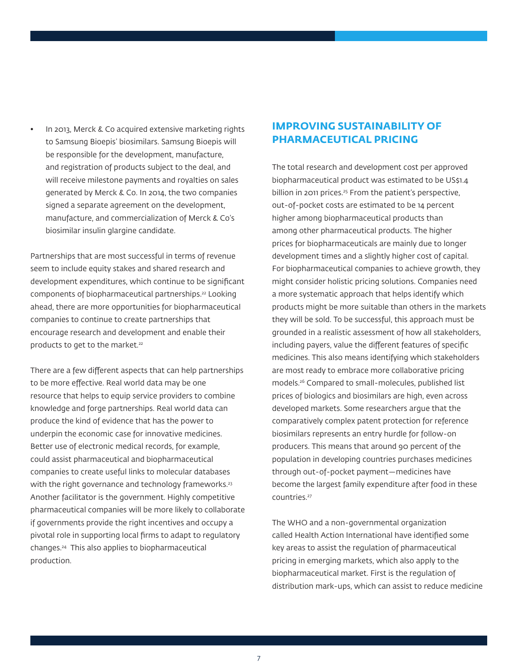• In 2013, Merck & Co acquired extensive marketing rights to Samsung Bioepis' biosimilars. Samsung Bioepis will be responsible for the development, manufacture, and registration of products subject to the deal, and will receive milestone payments and royalties on sales generated by Merck & Co. In 2014, the two companies signed a separate agreement on the development, manufacture, and commercialization of Merck & Co's biosimilar insulin glargine candidate.

Partnerships that are most successful in terms of revenue seem to include equity stakes and shared research and development expenditures, which continue to be significant components of biopharmaceutical partnerships.22 Looking ahead, there are more opportunities for biopharmaceutical companies to continue to create partnerships that encourage research and development and enable their products to get to the market.<sup>22</sup>

There are a few different aspects that can help partnerships to be more effective. Real world data may be one resource that helps to equip service providers to combine knowledge and forge partnerships. Real world data can produce the kind of evidence that has the power to underpin the economic case for innovative medicines. Better use of electronic medical records, for example, could assist pharmaceutical and biopharmaceutical companies to create useful links to molecular databases with the right governance and technology frameworks.<sup>23</sup> Another facilitator is the government. Highly competitive pharmaceutical companies will be more likely to collaborate if governments provide the right incentives and occupy a pivotal role in supporting local firms to adapt to regulatory changes.24 This also applies to biopharmaceutical production.

# **IMPROVING SUSTAINABILITY OF PHARMACEUTICAL PRICING**

The total research and development cost per approved biopharmaceutical product was estimated to be US\$1.4 billion in 2011 prices.<sup>25</sup> From the patient's perspective, out-of-pocket costs are estimated to be 14 percent higher among biopharmaceutical products than among other pharmaceutical products. The higher prices for biopharmaceuticals are mainly due to longer development times and a slightly higher cost of capital. For biopharmaceutical companies to achieve growth, they might consider holistic pricing solutions. Companies need a more systematic approach that helps identify which products might be more suitable than others in the markets they will be sold. To be successful, this approach must be grounded in a realistic assessment of how all stakeholders, including payers, value the different features of specific medicines. This also means identifying which stakeholders are most ready to embrace more collaborative pricing models.26 Compared to small-molecules, published list prices of biologics and biosimilars are high, even across developed markets. Some researchers argue that the comparatively complex patent protection for reference biosimilars represents an entry hurdle for follow-on producers. This means that around 90 percent of the population in developing countries purchases medicines through out-of-pocket payment—medicines have become the largest family expenditure after food in these countries.27

The WHO and a non-governmental organization called Health Action International have identified some key areas to assist the regulation of pharmaceutical pricing in emerging markets, which also apply to the biopharmaceutical market. First is the regulation of distribution mark-ups, which can assist to reduce medicine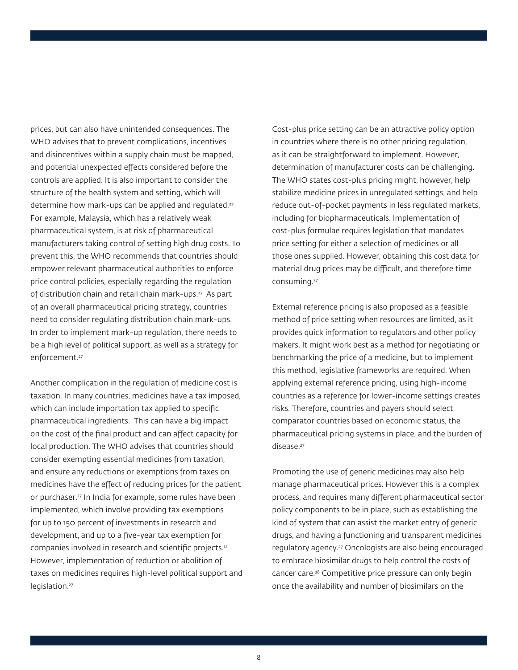prices, but can also have unintended consequences. The WHO advises that to prevent complications, incentives and disincentives within a supply chain must be mapped, and potential unexpected effects considered before the controls are applied. It is also important to consider the structure of the health system and setting, which will determine how mark-ups can be applied and regulated.<sup>27</sup> For example, Malaysia, which has a relatively weak pharmaceutical system, is at risk of pharmaceutical manufacturers taking control of setting high drug costs. To prevent this, the WHO recommends that countries should empower relevant pharmaceutical authorities to enforce price control policies, especially regarding the regulation of distribution chain and retail chain mark-ups.27 As part of an overall pharmaceutical pricing strategy, countries need to consider regulating distribution chain mark-ups. In order to implement mark-up regulation, there needs to be a high level of political support, as well as a strategy for enforcement.<sup>27</sup>

Another complication in the regulation of medicine cost is taxation. In many countries, medicines have a tax imposed, which can include importation tax applied to specific pharmaceutical ingredients. This can have a big impact on the cost of the final product and can affect capacity for local production. The WHO advises that countries should consider exempting essential medicines from taxation, and ensure any reductions or exemptions from taxes on medicines have the effect of reducing prices for the patient or purchaser.27 In India for example, some rules have been implemented, which involve providing tax exemptions for up to 150 percent of investments in research and development, and up to a five-year tax exemption for companies involved in research and scientific projects.12 However, implementation of reduction or abolition of taxes on medicines requires high-level political support and legislation.<sup>27</sup>

Cost-plus price setting can be an attractive policy option in countries where there is no other pricing regulation, as it can be straightforward to implement. However, determination of manufacturer costs can be challenging. The WHO states cost-plus pricing might, however, help stabilize medicine prices in unregulated settings, and help reduce out-of-pocket payments in less regulated markets, including for biopharmaceuticals. Implementation of cost-plus formulae requires legislation that mandates price setting for either a selection of medicines or all those ones supplied. However, obtaining this cost data for material drug prices may be difficult, and therefore time consuming.27

External reference pricing is also proposed as a feasible method of price setting when resources are limited, as it provides quick information to regulators and other policy makers. It might work best as a method for negotiating or benchmarking the price of a medicine, but to implement this method, legislative frameworks are required. When applying external reference pricing, using high-income countries as a reference for lower-income settings creates risks. Therefore, countries and payers should select comparator countries based on economic status, the pharmaceutical pricing systems in place, and the burden of disease.<sup>27</sup>

Promoting the use of generic medicines may also help manage pharmaceutical prices. However this is a complex process, and requires many different pharmaceutical sector policy components to be in place, such as establishing the kind of system that can assist the market entry of generic drugs, and having a functioning and transparent medicines regulatory agency.27 Oncologists are also being encouraged to embrace biosimilar drugs to help control the costs of cancer care.28 Competitive price pressure can only begin once the availability and number of biosimilars on the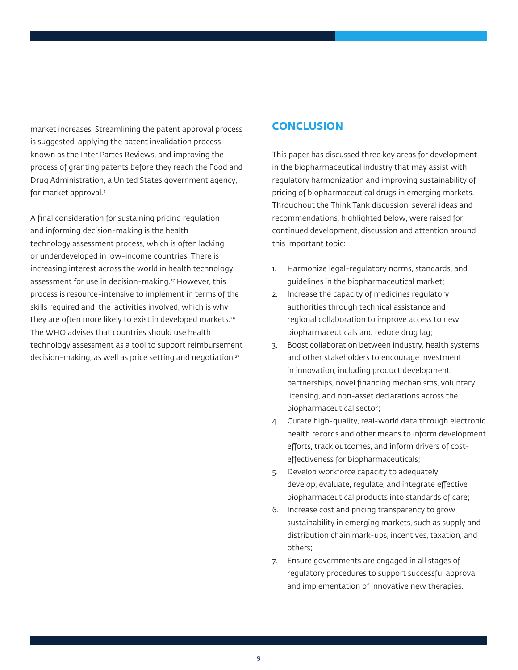market increases. Streamlining the patent approval process is suggested, applying the patent invalidation process known as the Inter Partes Reviews, and improving the process of granting patents before they reach the Food and Drug Administration, a United States government agency, for market approval.3

A final consideration for sustaining pricing regulation and informing decision-making is the health technology assessment process, which is often lacking or underdeveloped in low-income countries. There is increasing interest across the world in health technology assessment for use in decision-making.<sup>27</sup> However, this process is resource-intensive to implement in terms of the skills required and the activities involved, which is why they are often more likely to exist in developed markets.<sup>29</sup> The WHO advises that countries should use health technology assessment as a tool to support reimbursement decision-making, as well as price setting and negotiation.27

# **CONCLUSION**

This paper has discussed three key areas for development in the biopharmaceutical industry that may assist with regulatory harmonization and improving sustainability of pricing of biopharmaceutical drugs in emerging markets. Throughout the Think Tank discussion, several ideas and recommendations, highlighted below, were raised for continued development, discussion and attention around this important topic:

- 1. Harmonize legal-regulatory norms, standards, and guidelines in the biopharmaceutical market;
- 2. Increase the capacity of medicines regulatory authorities through technical assistance and regional collaboration to improve access to new biopharmaceuticals and reduce drug lag;
- 3. Boost collaboration between industry, health systems, and other stakeholders to encourage investment in innovation, including product development partnerships, novel financing mechanisms, voluntary licensing, and non-asset declarations across the biopharmaceutical sector;
- 4. Curate high-quality, real-world data through electronic health records and other means to inform development efforts, track outcomes, and inform drivers of costeffectiveness for biopharmaceuticals;
- 5. Develop workforce capacity to adequately develop, evaluate, regulate, and integrate effective biopharmaceutical products into standards of care;
- 6. Increase cost and pricing transparency to grow sustainability in emerging markets, such as supply and distribution chain mark-ups, incentives, taxation, and others;
- 7. Ensure governments are engaged in all stages of regulatory procedures to support successful approval and implementation of innovative new therapies.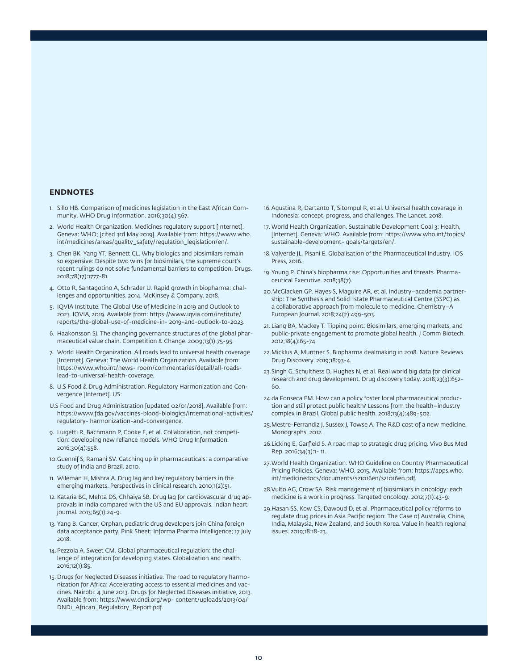#### **ENDNOTES**

- 1. Sillo HB. Comparison of medicines legislation in the East African Community. WHO Drug Information. 2016;30(4):567.
- 2. World Health Organization. Medicines regulatory support [Internet]. Geneva: WHO; [cited 3rd May 2019]. Available from: https://www.who. int/medicines/areas/quality\_safety/regulation\_legislation/en/.
- 3. Chen BK, Yang YT, Bennett CL. Why biologics and biosimilars remain so expensive: Despite two wins for biosimilars, the supreme court's recent rulings do not solve fundamental barriers to competition. Drugs. 2018;78(17):1777-81.
- 4. Otto R, Santagotino A, Schrader U. Rapid growth in biopharma: challenges and opportunities. 2014. McKinsey & Company. 2018.
- 5. IQVIA Institute. The Global Use of Medicine in 2019 and Outlook to 2023. IQVIA, 2019. Available from: https://www.iqvia.com/institute/ reports/the-global-use-of-medicine-in- 2019-and-outlook-to-2023.
- 6. Haakonsson SJ. The changing governance structures of the global pharmaceutical value chain. Competition & Change. 2009;13(1):75-95.
- 7. World Health Organization. All roads lead to universal health coverage [Internet]. Geneva: The World Health Organization. Available from: https://www.who.int/news- room/commentaries/detail/all-roadslead-to-universal-health-coverage.
- 8. U.S Food & Drug Administration. Regulatory Harmonization and Convergence [Internet]. US:
- U.S Food and Drug Administration [updated 02/01/2018]. Available from: https://www.fda.gov/vaccines-blood-biologics/international-activities/ regulatory- harmonization-and-convergence.
- 9. Luigetti R, Bachmann P, Cooke E, et al. Collaboration, not competition: developing new reliance models. WHO Drug Information. 2016;30(4):558.
- 10.Guennif S, Ramani SV. Catching up in pharmaceuticals: a comparative study of India and Brazil. 2010.
- 11. Wileman H, Mishra A. Drug lag and key regulatory barriers in the emerging markets. Perspectives in clinical research. 2010;1(2):51.
- 12. Kataria BC, Mehta DS, Chhaiya SB. Drug lag for cardiovascular drug approvals in India compared with the US and EU approvals. Indian heart journal. 2013;65(1):24-9.
- 13. Yang B. Cancer, Orphan, pediatric drug developers join China foreign data acceptance party. Pink Sheet: Informa Pharma Intelligence; 17 July 2018.
- 14.Pezzola A, Sweet CM. Global pharmaceutical regulation: the challenge of integration for developing states. Globalization and health. 2016;12(1):85.
- 15. Drugs for Neglected Diseases initiative. The road to regulatory harmonization for Africa: Accelerating access to essential medicines and vaccines. Nairobi: 4 June 2013. Drugs for Neglected Diseases initiative, 2013. Available from: https://www.dndi.org/wp- content/uploads/2013/04/ DNDi\_African\_Regulatory\_Report.pdf.
- 16.Agustina R, Dartanto T, Sitompul R, et al. Universal health coverage in Indonesia: concept, progress, and challenges. The Lancet. 2018.
- 17. World Health Organization. Sustainable Development Goal 3: Health, [Internet]. Geneva: WHO. Available from: https://www.who.int/topics/ sustainable-development- goals/targets/en/.
- 18.Valverde JL, Pisani E. Globalisation of the Pharmaceutical Industry. IOS Press, 2016.
- 19.Young P. China's biopharma rise: Opportunities and threats. Pharmaceutical Executive. 2018;38(7).
- 20.McGlacken GP, Hayes S, Maguire AR, et al. Industry–academia partnership: The Synthesis and Solid state Pharmaceutical Centre (SSPC) as a collaborative approach from molecule to medicine. Chemistry–A European Journal. 2018;24(2):499-503.
- 21. Liang BA, Mackey T. Tipping point: Biosimilars, emerging markets, and public-private engagement to promote global health. J Comm Biotech. 2012;18(4):65-74.
- 22.Micklus A, Muntner S. Biopharma dealmaking in 2018. Nature Reviews Drug Discovery. 2019;18:93-4.
- 23.Singh G, Schulthess D, Hughes N, et al. Real world big data for clinical research and drug development. Drug discovery today. 2018;23(3):652- 60.
- 24.da Fonseca EM. How can a policy foster local pharmaceutical production and still protect public health? Lessons from the health–industry complex in Brazil. Global public health. 2018;13(4):489-502.
- 25.Mestre-Ferrandiz J, Sussex J, Towse A. The R&D cost of a new medicine. Monographs. 2012.
- 26.Licking E, Garfield S. A road map to strategic drug pricing. Vivo Bus Med Rep. 2016;34(3):1- 11.
- 27.World Health Organization. WHO Guideline on Country Pharmaceutical Pricing Policies. Geneva: WHO, 2015. Available from: https://apps.who. int/medicinedocs/documents/s21016en/s21016en.pdf.
- 28.Vulto AG, Crow SA. Risk management of biosimilars in oncology: each medicine is a work in progress. Targeted oncology. 2012;7(1):43-9.
- 29.Hasan SS, Kow CS, Dawoud D, et al. Pharmaceutical policy reforms to regulate drug prices in Asia Pacific region: The Case of Australia, China, India, Malaysia, New Zealand, and South Korea. Value in health regional issues. 2019;18:18-23.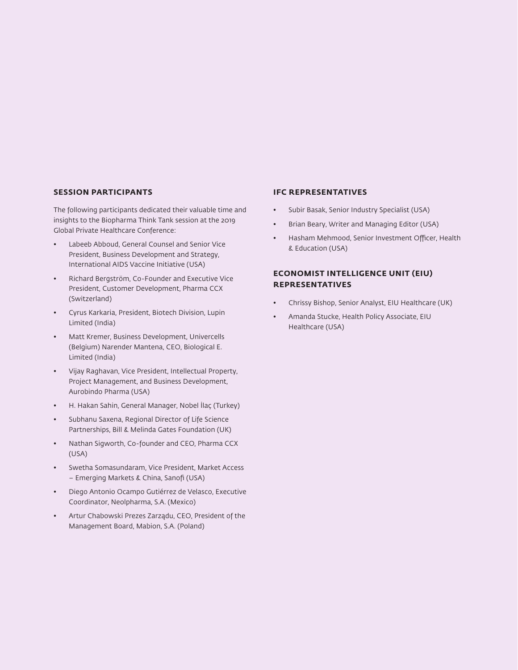#### **SESSION PARTICIPANTS**

The following participants dedicated their valuable time and insights to the Biopharma Think Tank session at the 2019 Global Private Healthcare Conference:

- Labeeb Abboud, General Counsel and Senior Vice President, Business Development and Strategy, International AIDS Vaccine Initiative (USA)
- Richard Bergström, Co-Founder and Executive Vice President, Customer Development, Pharma CCX (Switzerland)
- Cyrus Karkaria, President, Biotech Division, Lupin Limited (India)
- Matt Kremer, Business Development, Univercells (Belgium) Narender Mantena, CEO, Biological E. Limited (India)
- Vijay Raghavan, Vice President, Intellectual Property, Project Management, and Business Development, Aurobindo Pharma (USA)
- H. Hakan Sahin, General Manager, Nobel İlaç (Turkey)
- Subhanu Saxena, Regional Director of Life Science Partnerships, Bill & Melinda Gates Foundation (UK)
- Nathan Sigworth, Co-founder and CEO, Pharma CCX (USA)
- Swetha Somasundaram, Vice President, Market Access – Emerging Markets & China, Sanofi (USA)
- Diego Antonio Ocampo Gutiérrez de Velasco, Executive Coordinator, Neolpharma, S.A. (Mexico)
- Artur Chabowski Prezes Zarządu, CEO, President of the Management Board, Mabion, S.A. (Poland)

### **IFC REPRESENTATIVES**

- Subir Basak, Senior Industry Specialist (USA)
- Brian Beary, Writer and Managing Editor (USA)
- Hasham Mehmood, Senior Investment Officer, Health & Education (USA)

# **ECONOMIST INTELLIGENCE UNIT (EIU) REPRESENTATIVES**

- Chrissy Bishop, Senior Analyst, EIU Healthcare (UK)
- Amanda Stucke, Health Policy Associate, EIU Healthcare (USA)